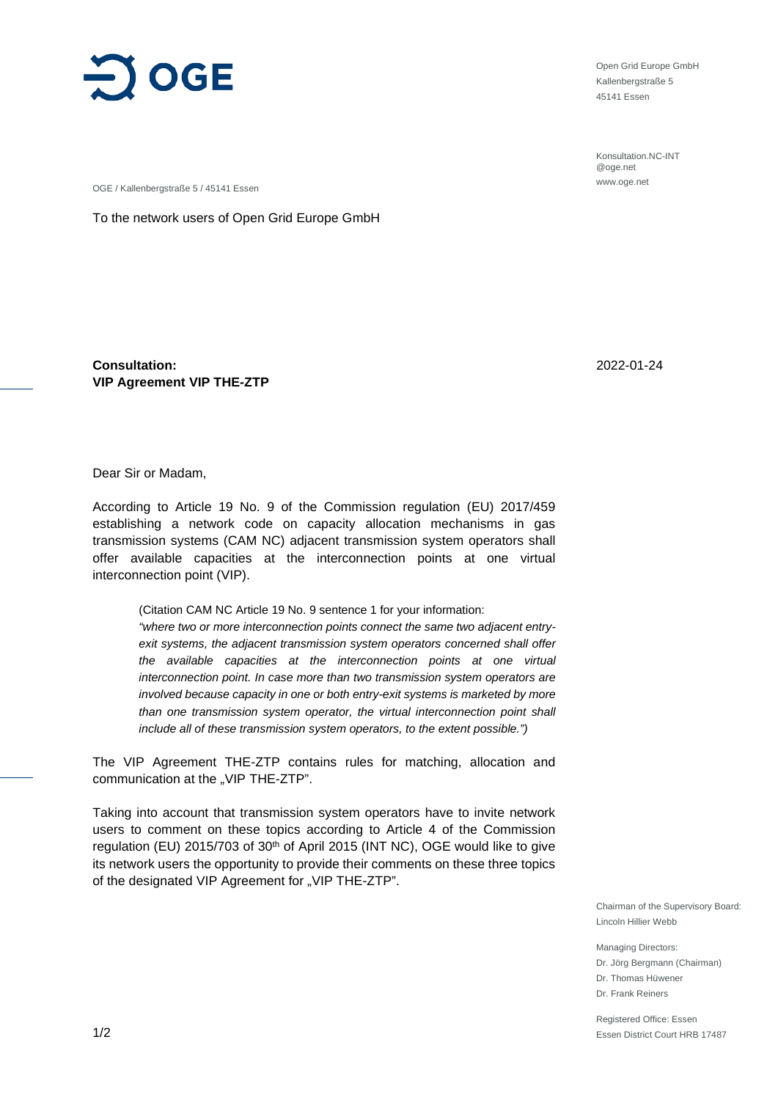

Open Grid Europe GmbH Kallenbergstraße 5 45141 Essen

Konsultation.NC-INT @oge.net www.oge.net

OGE / Kallenbergstraße 5 / 45141 Essen

To the network users of Open Grid Europe GmbH

**Consultation: VIP Agreement VIP THE-ZTP** 2022-01-24

Dear Sir or Madam,

According to Article 19 No. 9 of the Commission regulation (EU) 2017/459 establishing a network code on capacity allocation mechanisms in gas transmission systems (CAM NC) adjacent transmission system operators shall offer available capacities at the interconnection points at one virtual interconnection point (VIP).

(Citation CAM NC Article 19 No. 9 sentence 1 for your information: *"where two or more interconnection points connect the same two adjacent entryexit systems, the adjacent transmission system operators concerned shall offer the available capacities at the interconnection points at one virtual interconnection point. In case more than two transmission system operators are involved because capacity in one or both entry-exit systems is marketed by more than one transmission system operator, the virtual interconnection point shall include all of these transmission system operators, to the extent possible.")*

The VIP Agreement THE-ZTP contains rules for matching, allocation and communication at the "VIP THE-ZTP".

Taking into account that transmission system operators have to invite network users to comment on these topics according to Article 4 of the Commission regulation (EU) 2015/703 of 30<sup>th</sup> of April 2015 (INT NC), OGE would like to give its network users the opportunity to provide their comments on these three topics of the designated VIP Agreement for "VIP THE-ZTP".

> Chairman of the Supervisory Board: Lincoln Hillier Webb

Managing Directors: Dr. Jörg Bergmann (Chairman) Dr. Thomas Hüwener Dr. Frank Reiners

Registered Office: Essen Essen District Court HRB 17487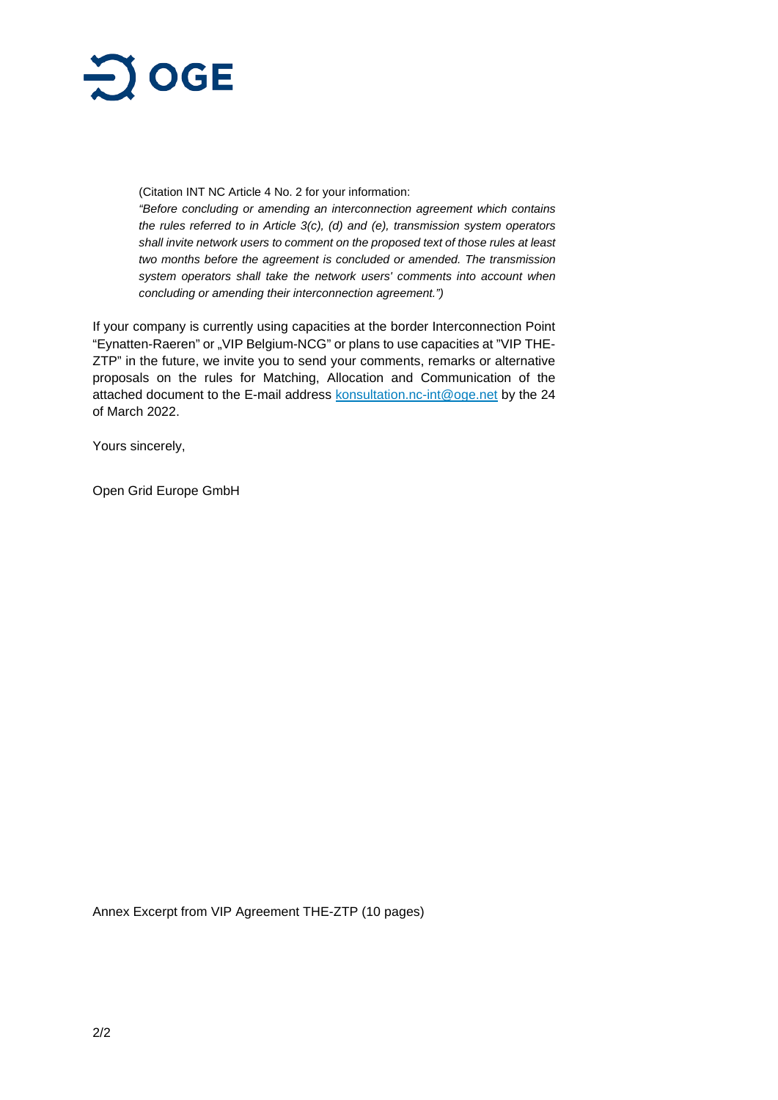

(Citation INT NC Article 4 No. 2 for your information:

*"Before concluding or amending an interconnection agreement which contains the rules referred to in Article 3(c), (d) and (e), transmission system operators shall invite network users to comment on the proposed text of those rules at least two months before the agreement is concluded or amended. The transmission system operators shall take the network users' comments into account when concluding or amending their interconnection agreement.")*

If your company is currently using capacities at the border Interconnection Point "Eynatten-Raeren" or "VIP Belgium-NCG" or plans to use capacities at "VIP THE-ZTP" in the future, we invite you to send your comments, remarks or alternative proposals on the rules for Matching, Allocation and Communication of the attached document to the E-mail address [konsultation.nc-int@oge.net](mailto:konsultation.nc-int@oge.net) by the 24 of March 2022.

Yours sincerely,

Open Grid Europe GmbH

Annex Excerpt from VIP Agreement THE-ZTP (10 pages)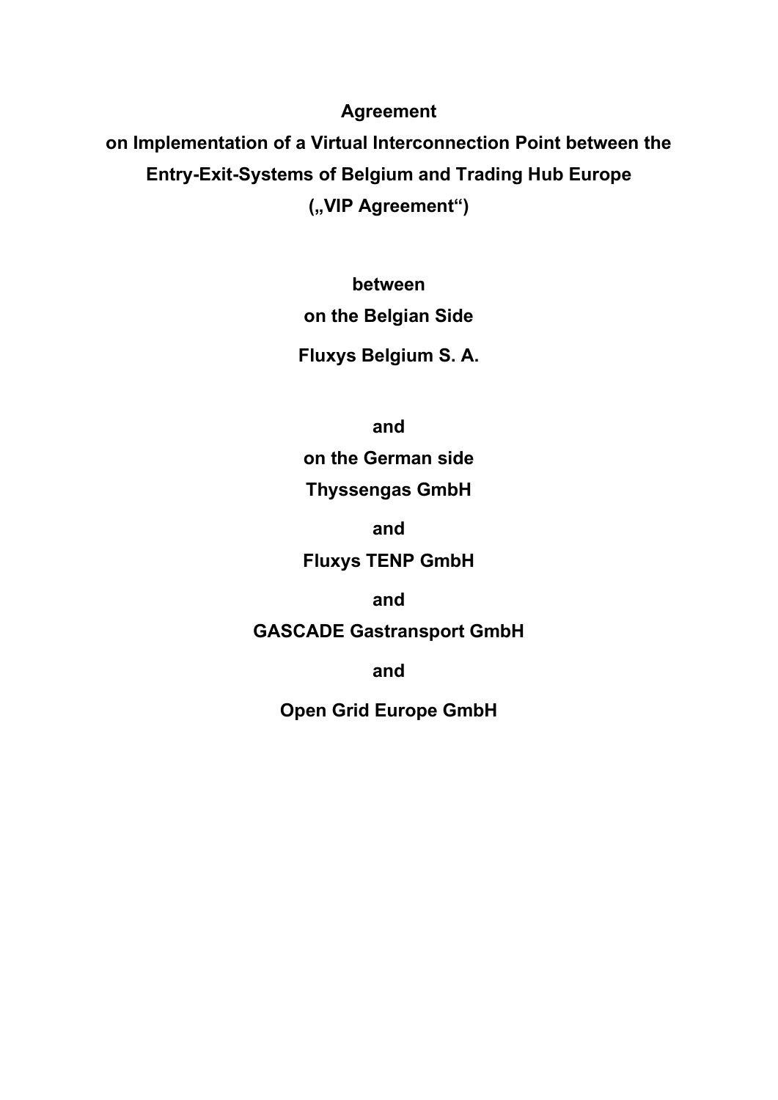**Agreement**

**on Implementation of a Virtual Interconnection Point between the Entry-Exit-Systems of Belgium and Trading Hub Europe** ("VIP Agreement")

> **between on the Belgian Side**

**Fluxys Belgium S. A.**

**and**

**on the German side**

**Thyssengas GmbH**

**and**

**Fluxys TENP GmbH**

**and**

**GASCADE Gastransport GmbH**

**and**

**Open Grid Europe GmbH**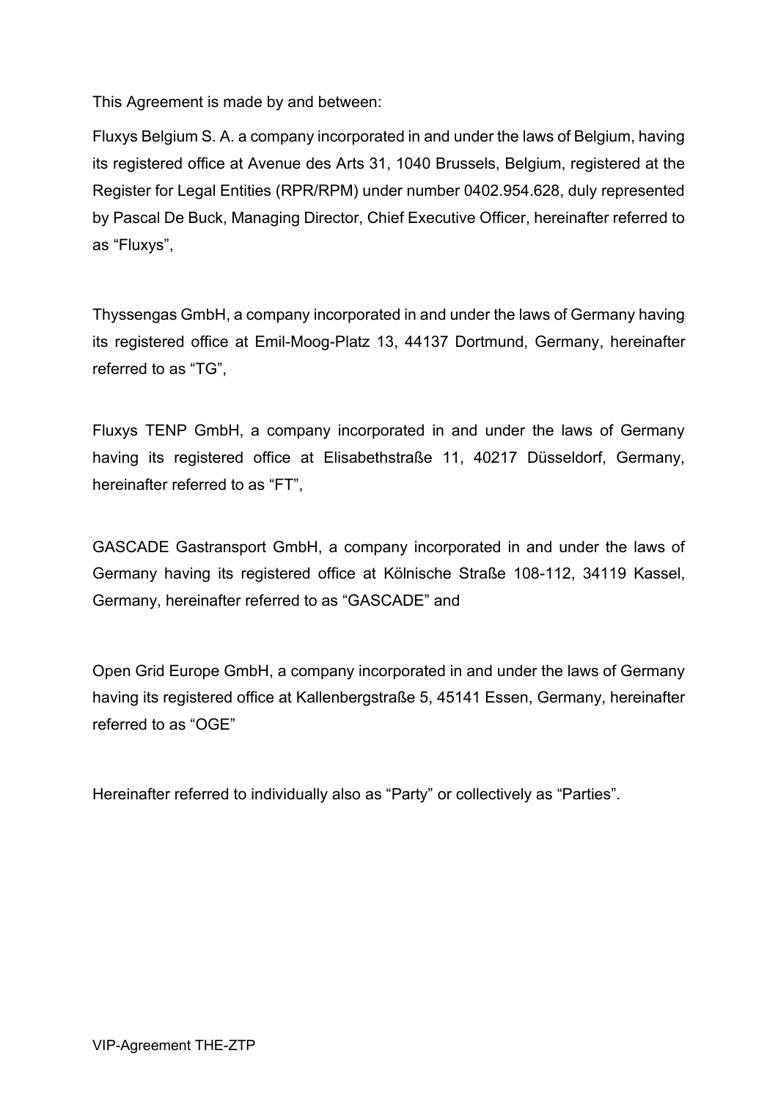This Agreement is made by and between:

Fluxys Belgium S. A. a company incorporated in and under the laws of Belgium, having its registered office at Avenue des Arts 31, 1040 Brussels, Belgium, registered at the Register for Legal Entities (RPR/RPM) under number 0402.954.628, duly represented by Pascal De Buck, Managing Director, Chief Executive Officer, hereinafter referred to as "Fluxys",

Thyssengas GmbH, a company incorporated in and under the laws of Germany having its registered office at Emil-Moog-Platz 13, 44137 Dortmund, Germany, hereinafter referred to as "TG",

Fluxys TENP GmbH, a company incorporated in and under the laws of Germany having its registered office at Elisabethstraße 11, 40217 Düsseldorf, Germany, hereinafter referred to as "FT",

GASCADE Gastransport GmbH, a company incorporated in and under the laws of Germany having its registered office at Kölnische Straße 108-112, 34119 Kassel, Germany, hereinafter referred to as "GASCADE" and

Open Grid Europe GmbH, a company incorporated in and under the laws of Germany having its registered office at Kallenbergstraße 5, 45141 Essen, Germany, hereinafter referred to as "OGE"

Hereinafter referred to individually also as "Party" or collectively as "Parties".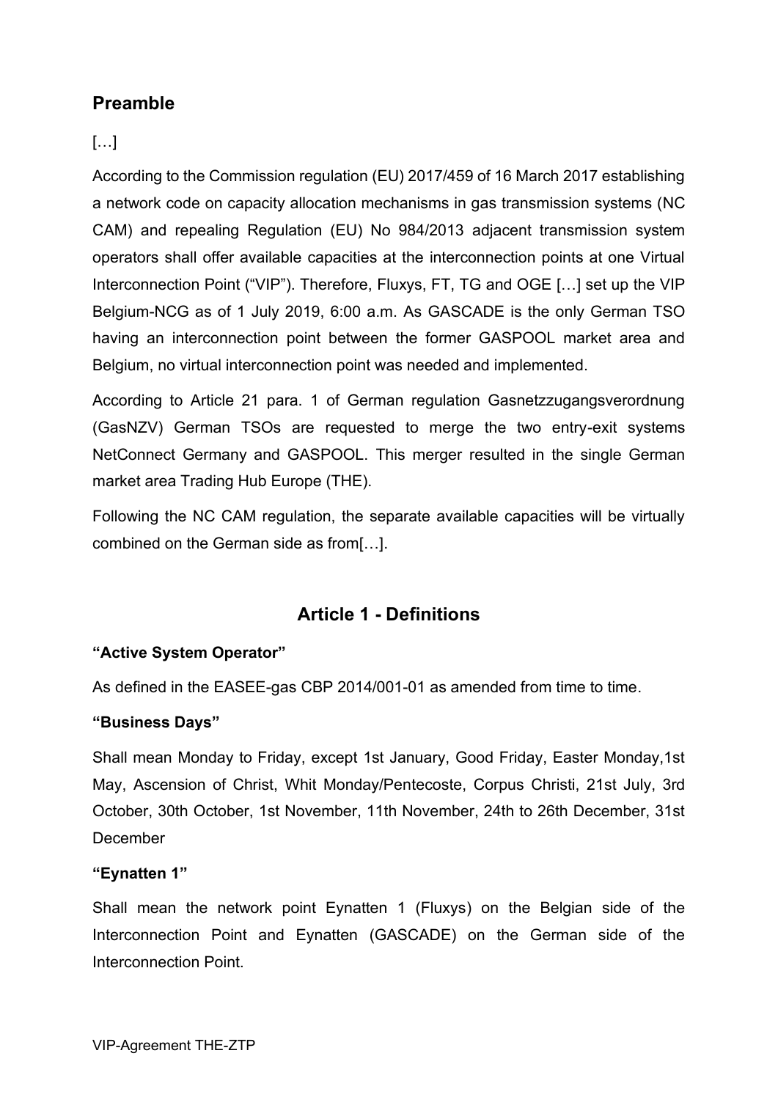# **Preamble**

# $[...]$

According to the Commission regulation (EU) 2017/459 of 16 March 2017 establishing a network code on capacity allocation mechanisms in gas transmission systems (NC CAM) and repealing Regulation (EU) No 984/2013 adjacent transmission system operators shall offer available capacities at the interconnection points at one Virtual Interconnection Point ("VIP"). Therefore, Fluxys, FT, TG and OGE [...] set up the VIP Belgium-NCG as of 1 July 2019, 6:00 a.m. As GASCADE is the only German TSO having an interconnection point between the former GASPOOL market area and Belgium, no virtual interconnection point was needed and implemented.

According to Article 21 para. 1 of German regulation Gasnetzzugangsverordnung (GasNZV) German TSOs are requested to merge the two entry-exit systems NetConnect Germany and GASPOOL. This merger resulted in the single German market area Trading Hub Europe (THE).

Following the NC CAM regulation, the separate available capacities will be virtually combined on the German side as from[…].

# **Article 1 - Definitions**

# **"Active System Operator"**

As defined in the EASEE-gas CBP 2014/001-01 as amended from time to time.

# **"Business Days"**

Shall mean Monday to Friday, except 1st January, Good Friday, Easter Monday,1st May, Ascension of Christ, Whit Monday/Pentecoste, Corpus Christi, 21st July, 3rd October, 30th October, 1st November, 11th November, 24th to 26th December, 31st **December** 

# **"Eynatten 1"**

Shall mean the network point Eynatten 1 (Fluxys) on the Belgian side of the Interconnection Point and Eynatten (GASCADE) on the German side of the Interconnection Point.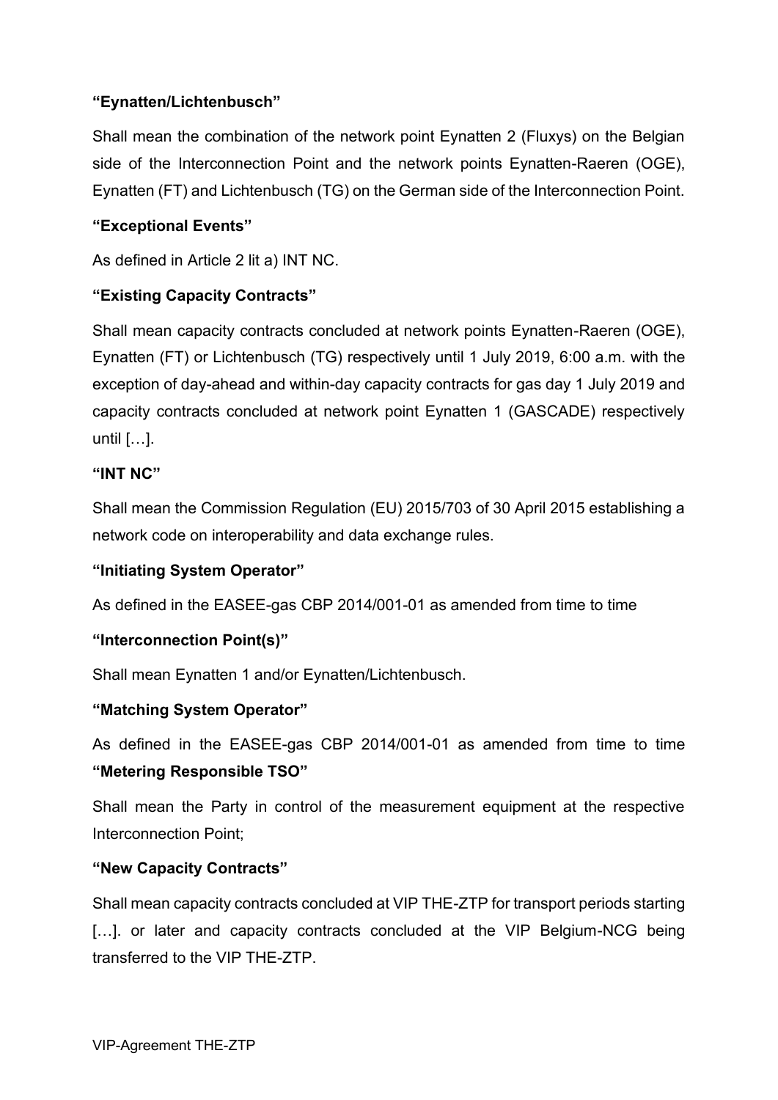# **"Eynatten/Lichtenbusch"**

Shall mean the combination of the network point Eynatten 2 (Fluxys) on the Belgian side of the Interconnection Point and the network points Eynatten-Raeren (OGE), Eynatten (FT) and Lichtenbusch (TG) on the German side of the Interconnection Point.

# **"Exceptional Events"**

As defined in Article 2 lit a) INT NC.

# **"Existing Capacity Contracts"**

Shall mean capacity contracts concluded at network points Eynatten-Raeren (OGE), Eynatten (FT) or Lichtenbusch (TG) respectively until 1 July 2019, 6:00 a.m. with the exception of day-ahead and within-day capacity contracts for gas day 1 July 2019 and capacity contracts concluded at network point Eynatten 1 (GASCADE) respectively until […].

# **"INT NC"**

Shall mean the Commission Regulation (EU) 2015/703 of 30 April 2015 establishing a network code on interoperability and data exchange rules.

# **"Initiating System Operator"**

As defined in the EASEE-gas CBP 2014/001-01 as amended from time to time

# **"Interconnection Point(s)"**

Shall mean Eynatten 1 and/or Eynatten/Lichtenbusch.

# **"Matching System Operator"**

As defined in the EASEE-gas CBP 2014/001-01 as amended from time to time **"Metering Responsible TSO"**

Shall mean the Party in control of the measurement equipment at the respective Interconnection Point;

# **"New Capacity Contracts"**

Shall mean capacity contracts concluded at VIP THE-ZTP for transport periods starting [...]. or later and capacity contracts concluded at the VIP Belgium-NCG being transferred to the VIP THE-ZTP.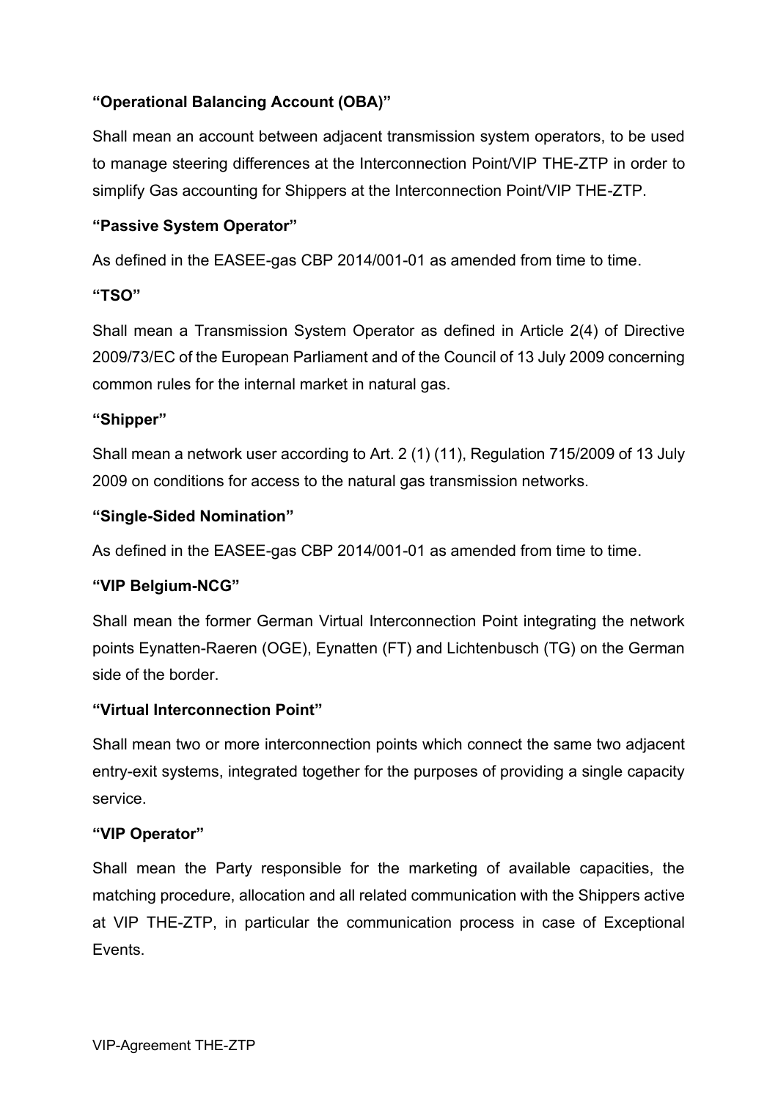# **"Operational Balancing Account (OBA)"**

Shall mean an account between adjacent transmission system operators, to be used to manage steering differences at the Interconnection Point/VIP THE-ZTP in order to simplify Gas accounting for Shippers at the Interconnection Point/VIP THE-ZTP.

### **"Passive System Operator"**

As defined in the EASEE-gas CBP 2014/001-01 as amended from time to time.

#### **"TSO"**

Shall mean a Transmission System Operator as defined in Article 2(4) of Directive 2009/73/EC of the European Parliament and of the Council of 13 July 2009 concerning common rules for the internal market in natural gas.

# **"Shipper"**

Shall mean a network user according to Art. 2 (1) (11), Regulation 715/2009 of 13 July 2009 on conditions for access to the natural gas transmission networks.

#### **"Single-Sided Nomination"**

As defined in the EASEE-gas CBP 2014/001-01 as amended from time to time.

# **"VIP Belgium-NCG"**

Shall mean the former German Virtual Interconnection Point integrating the network points Eynatten-Raeren (OGE), Eynatten (FT) and Lichtenbusch (TG) on the German side of the border.

# **"Virtual Interconnection Point"**

Shall mean two or more interconnection points which connect the same two adjacent entry-exit systems, integrated together for the purposes of providing a single capacity service.

#### **"VIP Operator"**

Shall mean the Party responsible for the marketing of available capacities, the matching procedure, allocation and all related communication with the Shippers active at VIP THE-ZTP, in particular the communication process in case of Exceptional Events.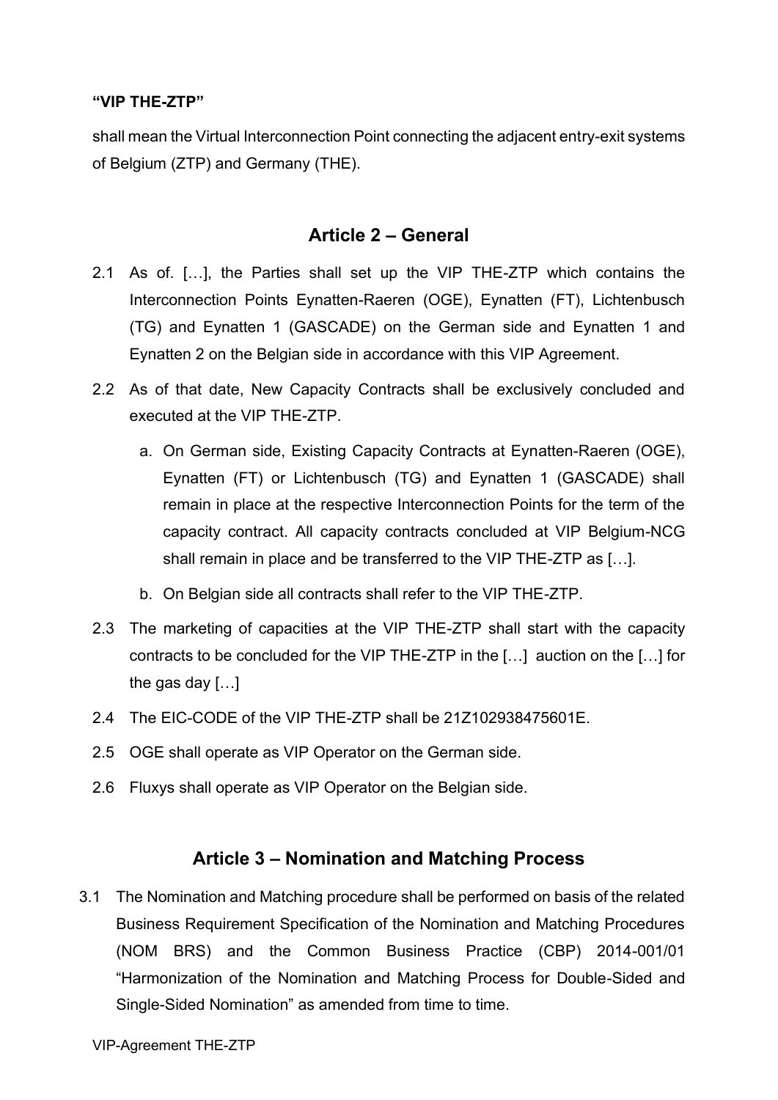#### **"VIP THE-ZTP"**

shall mean the Virtual Interconnection Point connecting the adjacent entry-exit systems of Belgium (ZTP) and Germany (THE).

# **Article 2 – General**

- 2.1 As of. […], the Parties shall set up the VIP THE-ZTP which contains the Interconnection Points Eynatten-Raeren (OGE), Eynatten (FT), Lichtenbusch (TG) and Eynatten 1 (GASCADE) on the German side and Eynatten 1 and Eynatten 2 on the Belgian side in accordance with this VIP Agreement.
- 2.2 As of that date, New Capacity Contracts shall be exclusively concluded and executed at the VIP THE-ZTP.
	- a. On German side, Existing Capacity Contracts at Eynatten-Raeren (OGE), Eynatten (FT) or Lichtenbusch (TG) and Eynatten 1 (GASCADE) shall remain in place at the respective Interconnection Points for the term of the capacity contract. All capacity contracts concluded at VIP Belgium-NCG shall remain in place and be transferred to the VIP THE-ZTP as […].
	- b. On Belgian side all contracts shall refer to the VIP THE-ZTP.
- 2.3 The marketing of capacities at the VIP THE-ZTP shall start with the capacity contracts to be concluded for the VIP THE-ZTP in the […] auction on the […] for the gas day […]
- 2.4 The EIC-CODE of the VIP THE-ZTP shall be 21Z102938475601E.
- 2.5 OGE shall operate as VIP Operator on the German side.
- 2.6 Fluxys shall operate as VIP Operator on the Belgian side.

# **Article 3 – Nomination and Matching Process**

3.1 The Nomination and Matching procedure shall be performed on basis of the related Business Requirement Specification of the Nomination and Matching Procedures (NOM BRS) and the Common Business Practice (CBP) 2014-001/01 "Harmonization of the Nomination and Matching Process for Double-Sided and Single-Sided Nomination" as amended from time to time.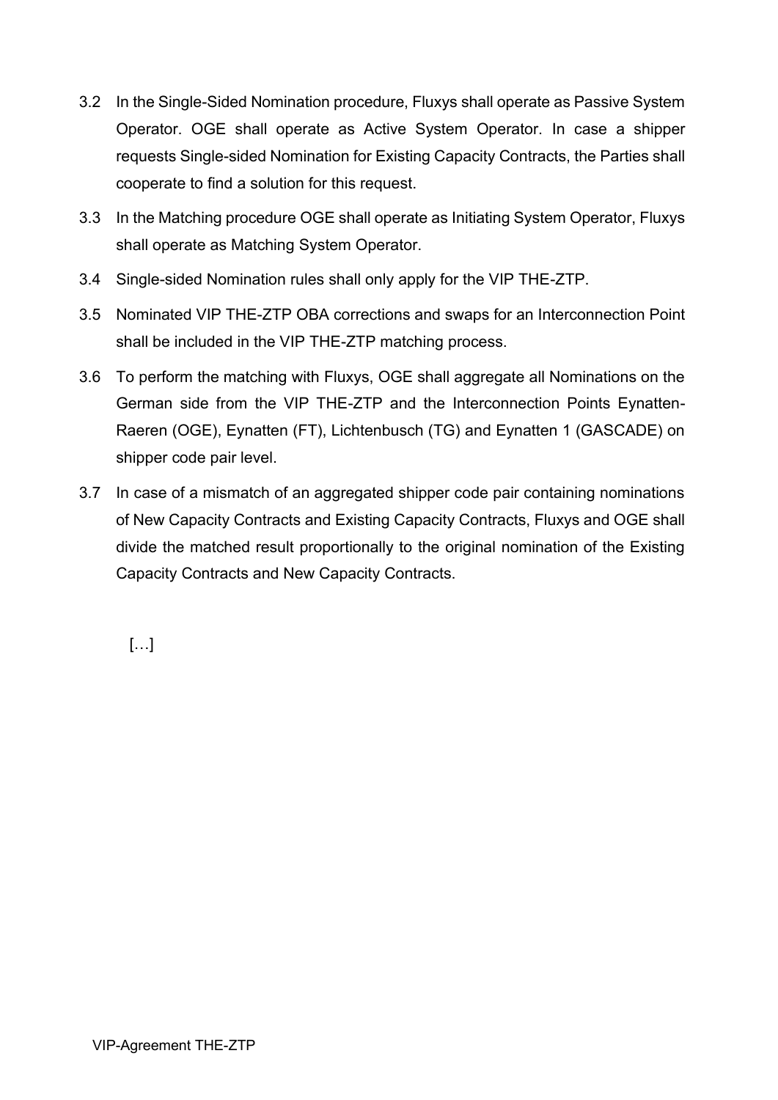- 3.2 In the Single-Sided Nomination procedure, Fluxys shall operate as Passive System Operator. OGE shall operate as Active System Operator. In case a shipper requests Single-sided Nomination for Existing Capacity Contracts, the Parties shall cooperate to find a solution for this request.
- 3.3 In the Matching procedure OGE shall operate as Initiating System Operator, Fluxys shall operate as Matching System Operator.
- 3.4 Single-sided Nomination rules shall only apply for the VIP THE-ZTP.
- 3.5 Nominated VIP THE-ZTP OBA corrections and swaps for an Interconnection Point shall be included in the VIP THE-ZTP matching process.
- 3.6 To perform the matching with Fluxys, OGE shall aggregate all Nominations on the German side from the VIP THE-ZTP and the Interconnection Points Eynatten-Raeren (OGE), Eynatten (FT), Lichtenbusch (TG) and Eynatten 1 (GASCADE) on shipper code pair level.
- 3.7 In case of a mismatch of an aggregated shipper code pair containing nominations of New Capacity Contracts and Existing Capacity Contracts, Fluxys and OGE shall divide the matched result proportionally to the original nomination of the Existing Capacity Contracts and New Capacity Contracts.

[…]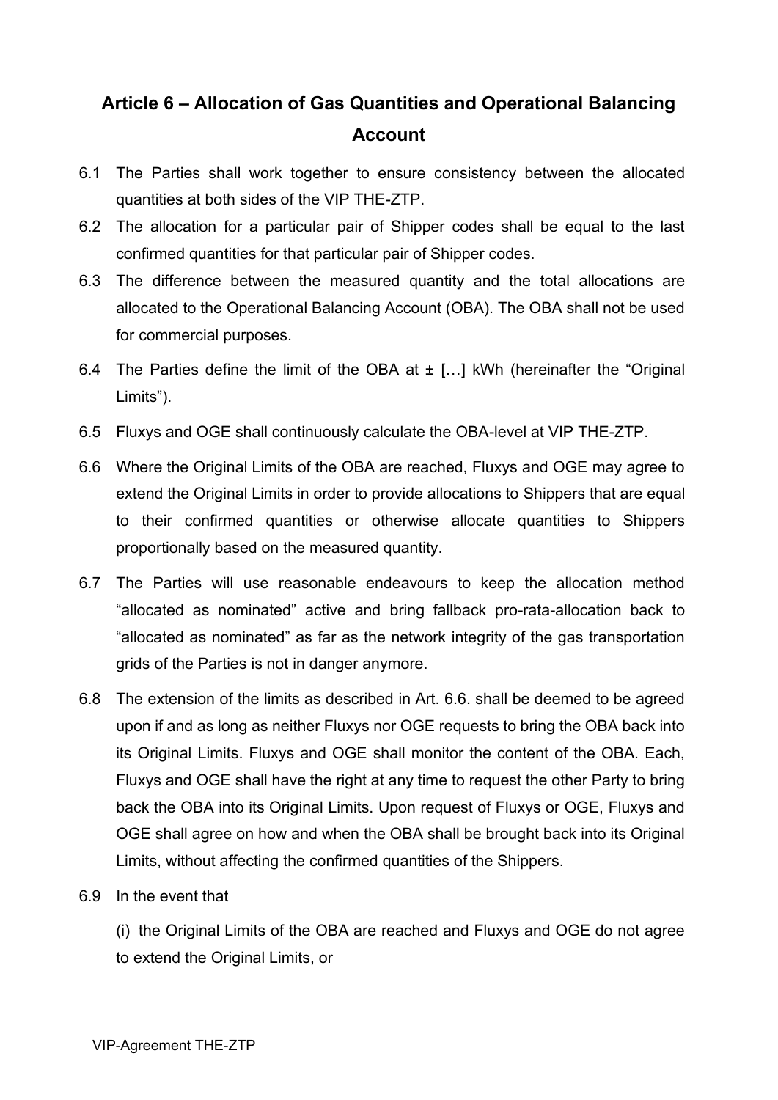# **Article 6 – Allocation of Gas Quantities and Operational Balancing Account**

- 6.1 The Parties shall work together to ensure consistency between the allocated quantities at both sides of the VIP THE-ZTP.
- 6.2 The allocation for a particular pair of Shipper codes shall be equal to the last confirmed quantities for that particular pair of Shipper codes.
- 6.3 The difference between the measured quantity and the total allocations are allocated to the Operational Balancing Account (OBA). The OBA shall not be used for commercial purposes.
- 6.4 The Parties define the limit of the OBA at  $\pm$  [...] kWh (hereinafter the "Original Limits").
- 6.5 Fluxys and OGE shall continuously calculate the OBA-level at VIP THE-ZTP.
- 6.6 Where the Original Limits of the OBA are reached, Fluxys and OGE may agree to extend the Original Limits in order to provide allocations to Shippers that are equal to their confirmed quantities or otherwise allocate quantities to Shippers proportionally based on the measured quantity.
- 6.7 The Parties will use reasonable endeavours to keep the allocation method "allocated as nominated" active and bring fallback pro-rata-allocation back to "allocated as nominated" as far as the network integrity of the gas transportation grids of the Parties is not in danger anymore.
- 6.8 The extension of the limits as described in Art. 6.6. shall be deemed to be agreed upon if and as long as neither Fluxys nor OGE requests to bring the OBA back into its Original Limits. Fluxys and OGE shall monitor the content of the OBA. Each, Fluxys and OGE shall have the right at any time to request the other Party to bring back the OBA into its Original Limits. Upon request of Fluxys or OGE, Fluxys and OGE shall agree on how and when the OBA shall be brought back into its Original Limits, without affecting the confirmed quantities of the Shippers.
- 6.9 In the event that

(i) the Original Limits of the OBA are reached and Fluxys and OGE do not agree to extend the Original Limits, or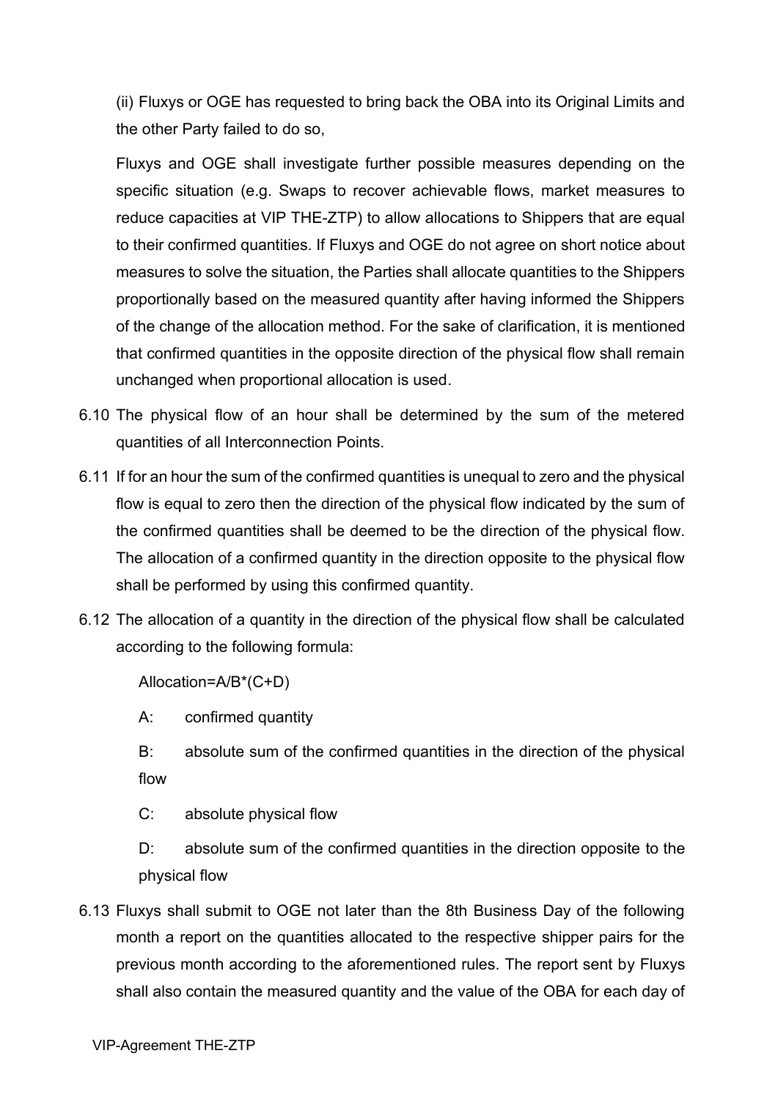(ii) Fluxys or OGE has requested to bring back the OBA into its Original Limits and the other Party failed to do so,

Fluxys and OGE shall investigate further possible measures depending on the specific situation (e.g. Swaps to recover achievable flows, market measures to reduce capacities at VIP THE-ZTP) to allow allocations to Shippers that are equal to their confirmed quantities. If Fluxys and OGE do not agree on short notice about measures to solve the situation, the Parties shall allocate quantities to the Shippers proportionally based on the measured quantity after having informed the Shippers of the change of the allocation method. For the sake of clarification, it is mentioned that confirmed quantities in the opposite direction of the physical flow shall remain unchanged when proportional allocation is used.

- 6.10 The physical flow of an hour shall be determined by the sum of the metered quantities of all Interconnection Points.
- 6.11 If for an hour the sum of the confirmed quantities is unequal to zero and the physical flow is equal to zero then the direction of the physical flow indicated by the sum of the confirmed quantities shall be deemed to be the direction of the physical flow. The allocation of a confirmed quantity in the direction opposite to the physical flow shall be performed by using this confirmed quantity.
- 6.12 The allocation of a quantity in the direction of the physical flow shall be calculated according to the following formula:

Allocation=A/B\*(C+D)

A: confirmed quantity

B: absolute sum of the confirmed quantities in the direction of the physical flow

C: absolute physical flow

D: absolute sum of the confirmed quantities in the direction opposite to the physical flow

6.13 Fluxys shall submit to OGE not later than the 8th Business Day of the following month a report on the quantities allocated to the respective shipper pairs for the previous month according to the aforementioned rules. The report sent by Fluxys shall also contain the measured quantity and the value of the OBA for each day of